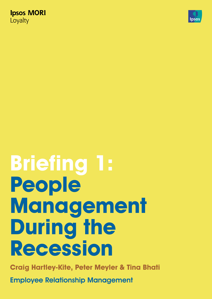**Ipsos MORI** Loyalty



# **Briefing 1: People Management During the Recession**

**Craig Hartley-Kite, Peter Meyler & Tina Bhati**

Employee Relationship Management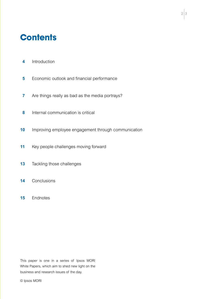### **Contents**

- **4** Introduction
- **5** Economic outlook and financial performance
- **7** Are things really as bad as the media portrays?
- **8** Internal communication is critical
- **10** Improving employee engagement through communication
- **11** Key people challenges moving forward
- **13** Tackling those challenges
- **14** Conclusions
- **15** Endnotes

This paper is one in a series of Ipsos MORI White Papers, which aim to shed new light on the business and research issues of the day.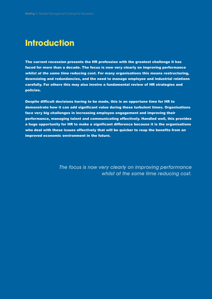### **Introduction**

The current recession presents the HR profession with the greatest challenge it has faced for more than a decade. The focus is now very clearly on improving performance *whilst at the same time* reducing cost. For many organisations this means restructuring, downsizing and redundancies, and the need to manage employee and industrial relations carefully. For others this may also involve a fundamental review of HR strategies and policies.

Despite difficult decisions having to be made, this is an opportune time for HR to demonstrate how it can add significant value during these turbulent times. Organisations face very big challenges in increasing employee engagement and improving their performance, managing talent and communicating effectively. Handled well, this provides a huge opportunity for HR to make a significant difference because it is the organisations who deal with these issues effectively that will be quicker to reap the benefits from an improved economic environment in the future.

> The focus is now very clearly on improving performance whilst at the same time reducing cost.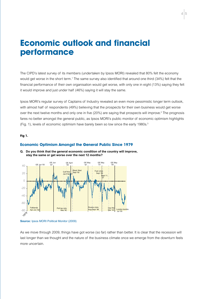### **Economic outlook and financial performance**

The CIPD's latest survey of its members (undertaken by Ipsos MORI) revealed that 80% felt the economy would get worse in the short term.<sup>1</sup> The same survey also identified that around one third (34%) felt that the financial performance of their own organisation would get worse, with only one in eight (13%) saying they felt it would improve and just under half (46%) saying it will stay the same.

Ipsos MORI's regular survey of Captains of Industry revealed an even more pessimistic longer term outlook, with almost half of respondents (49%) believing that the prospects for their own business would get worse over the next twelve months and only one in five (20%) are saying that prospects will improve.<sup>2</sup> The prognosis fares no better amongst the general public, as Ipsos MORI's public monitor of economic optimism highlights (Fig. 1), levels of economic optimism have barely been so low since the early 1980s.<sup>3</sup>

### **Fig 1.**

-80

 $\frac{1}{80}$  Falklands  $\Delta$ pr-Jun '82

-60

-40

 $-20$ 

#### **Economic Optimism Amongst the General Public Since 1979**



**Q. Do you think that the general economic condition of the country will improve, stay the same or get worse over the next 12 months?** 

**Source:** Ipsos MORI Political Monitor (2009)

Poll tax riots Mar '90

As we move through 2009, things have got worse (so far) rather than better. It is clear that the recession will last longer than we thought and the nature of the business climate once we emerge from the downturn feels more uncertain.

Russia crisis Aug-Sept '98

Iraq War Mar '03

London bombs Jul '05

 $4|5$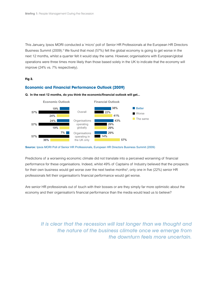This January, Ipsos MORI conducted a 'micro' poll of Senior HR Professionals at the European HR Directors Business Summit (2009).<sup>4</sup> We found that most (57%) felt the global economy is going to get worse in the next 12 months, whilst a quarter felt it would stay the same. However, organisations with European/global operations were three times more likely than those based solely in the UK to indicate that the economy will improve (24% vs. 7% respectively).

### **Fig 2.**

### **Economic and Financial Performance Outlook (2009)**



**Q. In the next 12 months, do you think the economic/financial outlook will get...** 



Predictions of a worsening economic climate did not translate into a perceived worsening of financial performance for these organisations. Indeed, whilst 49% of Captains of Industry believed that the prospects for their own business would get worse over the next twelve months<sup>5</sup>, only one in five (22%) senior HR professionals felt their organisation's financial performance would get worse.

Are senior HR professionals out of touch with their bosses or are they simply far more optimistic about the economy and their organisation's financial performance than the media would lead us to believe?

It is clear that the recession will last longer than we thought and the nature of the business climate once we emerge from the downturn feels more uncertain.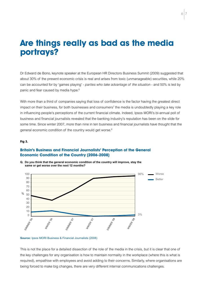### **Are things really as bad as the media portrays?**

Dr Edward de Bono, keynote speaker at the European HR Directors Business Summit (2009) suggested that about 30% of the present economic crisis is real and arises from toxic (unmanageable) securities, while 20% can be accounted for by 'games playing' - *parties who take advantage of the situation* - and 50% is led by panic and fear caused by media hype.<sup>6</sup>

With more than a third of companies saying that loss of confidence is the factor having the greatest direct impact on their business, for both businesses and consumers<sup>7</sup> the media is undoubtedly playing a key role in influencing people's perceptions of the current financial climate. Indeed, Ipsos MORI's bi-annual poll of business and financial journalists revealed that the banking industry's reputation has been on the slide for some time. Since winter 2007, more than nine in ten business and financial journalists have thought that the general economic condition of the country would get worse.<sup>8</sup>

#### **Fig 3.**

### **Britain's Business and Financial Journalists' Perception of the General Economic Condition of the Country (2006-2008)**



**Q. Do you think that the general economic condition of the country will improve, stay the same or get worse over the next 12 months?** 

**Source:** Ipsos MORI Business & Financial Journalists (2008)

This is not the place for a detailed dissection of the role of the media in the crisis, but it is clear that one of the key challenges for any organisation is how to maintain normality in the workplace (where this is what is required), empathise with employees and avoid adding to their concerns. Similarly, where organisations are being forced to make big changes, there are very different internal communications challenges.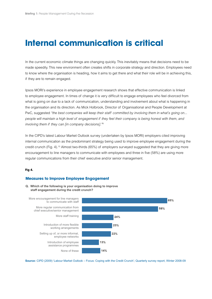### **Internal communication is critical**

In the current economic climate things are changing quickly. This inevitably means that decisions need to be made speedily. This new environment often creates shifts in corporate strategy and direction. Employees need to know where the organisation is heading, how it aims to get there and what their role will be in achieving this, if they are to remain engaged.

Ipsos MORI's experience in employee engagement research shows that effective communication is linked to employee engagement. In times of change it is very difficult to engage employees who feel divorced from what is going on due to a lack of communication, understanding and involvement about what is happening in the organisation and its direction. As Mick Holbrook, Director of Organisational and People Development at PwC, suggested *"the best companies will keep their staff committed by involving them in what's going on... people will maintain a high level of engagement if they feel their company is being honest with them, and involving them if they can [in company decisions]."*<sup>9</sup>

In the CIPD's latest Labour Market Outlook survey (undertaken by Ipsos MORI) employers cited improving internal communication as the predominant strategy being used to improve employee engagement during the credit crunch (Fig. 4).10 Almost two-thirds (65%) of employers surveyed suggested that they are giving more encouragement to line managers to communicate with employees and three in five (58%) are using more regular communications from their chief executive and/or senior management.

### **Fig 4.**

### **Measures to Improve Employee Engagement**





**Source:** CIPD (2009) 'Labour Market Outlook – Focus: Coping with the Credit Crunch'; Quarterly survey report, Winter 2008-09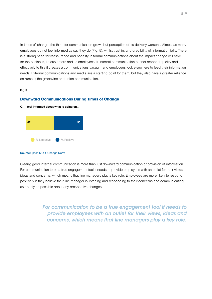In times of change, the thirst for communication grows but perception of its delivery worsens. Almost as many employees do not feel informed as say they do (Fig. 5), whilst trust in, and credibility of, information falls. There is a strong need for reassurance and honesty in formal communications about the impact change will have for the business, its customers and its employees. If internal communication cannot respond quickly and effectively to this it creates a communications vacuum and employees look elsewhere to feed their information needs. External communications and media are a starting point for them, but they also have a greater reliance on rumour, the grapevine and union communication.

### **Fig 5.**

### **Downward Communications During Times of Change**





#### **Source:** Ipsos MORI Change Norm

Clearly, good internal communication is more than just downward communication or provision of information. For communication to be a true engagement tool it needs to provide employees with an outlet for their views, ideas and concerns, which means that line managers play a key role. Employees are more likely to respond positively if they believe their line manager is listening and responding to their concerns and communicating as openly as possible about any prospective changes.

> For communication to be a true engagement tool it needs to provide employees with an outlet for their views, ideas and concerns, which means that line managers play a key role.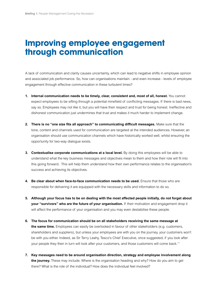### **Improving employee engagement through communication**

A lack of communication and clarity causes uncertainty, which can lead to negative shifts in employee opinion and associated job performance. So, how can organisations maintain - and even increase - levels of employee engagement through effective communication in these turbulent times?

- **1. Internal communication needs to be timely, clear, consistent and, most of all, honest.** You cannot expect employees to be sifting through a potential minefield of conflicting messages. If there is bad news, say so. Employees may not like it, but you will have their respect and trust for being honest. Ineffective and dishonest communication just undermines that trust and makes it much harder to implement change.
- **2. There is no "one size fits all approach" to communicating difficult messages.** Make sure that the tone, content and channels used for communication are targeted at the intended audiences. However, an organisation should use communication channels which have historically worked well, whilst ensuring the opportunity for two-way dialogue exists.
- **3. Contextualise corporate communications at a local level.** By doing this employees will be able to understand what the key business messages and objectives mean to them and how their role will fit into this going forward. This will help them understand how their own performance relates to the organisation's success and achieving its objectives.
- **4. Be clear about when face-to-face communication needs to be used.** Ensure that those who are responsible for delivering it are equipped with the necessary skills and information to do so.
- 5. Although your focus has to be on dealing with the most affected people initially, do not forget about **your "survivors" who are the future of your organisation.** If their motivation and engagement drop it will affect the performance of your organisation and you may even destabilise these people.
- **6. The focus for communication should be on all stakeholders receiving the same message at the same time.** Employees can easily be overlooked in favour of other stakeholders (e.g. customers, shareholders and suppliers), but unless your employees are with you on the journey, your customers won't be with you either. Indeed, as Sir Terry Leahy, Tesco's Chief Executive, once suggested, if you look after your people they then in turn will look after your customers, and those customers will come back.<sup>11</sup>
- **7. Key messages need to be around organisation direction, strategy and employee involvement along the journey.** These may include: Where is the organisation heading and why? How do you aim to get there? What is the role of the individual? How does the individual feel involved?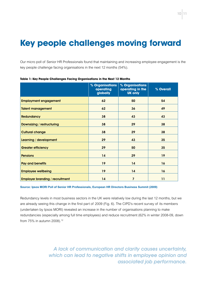## **Key people challenges moving forward**

Our micro poll of Senior HR Professionals found that maintaining and increasing employee engagement is the key people challenge facing organisations in the next 12 months (54%).

|                                        | % Organisations<br>operating<br>globally | % Organisations<br>operating in the<br><b>UK only</b> | % Overall |
|----------------------------------------|------------------------------------------|-------------------------------------------------------|-----------|
| <b>Employment engagement</b>           | 62                                       | 50                                                    | 54        |
| <b>Talent management</b>               | 62                                       | 36                                                    | 49        |
| <b>Redundancy</b>                      | 38                                       | 43                                                    | 43        |
| Downsizing / restructuring             | 38                                       | 29                                                    | 38        |
| <b>Cultural change</b>                 | 38                                       | 29                                                    | 38        |
| Learning / development                 | 29                                       | 43                                                    | 35        |
| <b>Greater efficiency</b>              | 29                                       | 50                                                    | 35        |
| <b>Pensions</b>                        | 14                                       | 29                                                    | 19        |
| <b>Pay and benefits</b>                | 19                                       | 14                                                    | 16        |
| <b>Employee wellbeing</b>              | 19                                       | 14                                                    | 16        |
| <b>Employer branding / recruitment</b> | 14                                       | $\overline{\phantom{a}}$                              | 11        |

|  | Table 1: Key People Challenges Facing Organisations in the Next 12 Months |
|--|---------------------------------------------------------------------------|
|--|---------------------------------------------------------------------------|

#### **Source: Ipsos MORI Poll of Senior HR Professionals, European HR Directors Business Summit (2009)**

Redundancy levels in most business sectors in the UK were relatively low during the last 12 months, but we are already seeing this change in the first part of 2009 (Fig. 6). The CIPD's recent survey of its members (undertaken by Ipsos MORI) revealed an increase in the number of organisations planning to make redundancies (especially among full time employees) and reduce recruitment (62% in winter 2008-09, down from 75% in autumn 2008).12

> A lack of communication and clarity causes uncertainty, which can lead to negative shifts in employee opinion and associated job performance.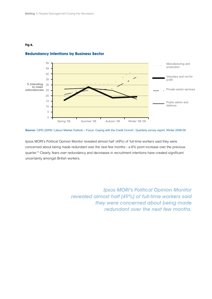### **Fig 6.**



### **Redundancy Intentions by Business Sector**

**Source:** CIPD (2009) 'Labour Market Outlook – Focus: Coping with the Credit Crunch'; Quarterly survey report, Winter 2008-09

Ipsos MORI's Political Opinion Monitor revealed almost half (49%) of full-time workers said they were concerned about being made redundant over the next few months - a 6% point increase over the previous quarter.13 Clearly, fears over redundancy and decreases in recruitment intentions have created significant uncertainty amongst British workers.

> Ipsos MORI's Political Opinion Monitor revealed almost half (49%) of full-time workers said they were concerned about being made redundant over the next few months.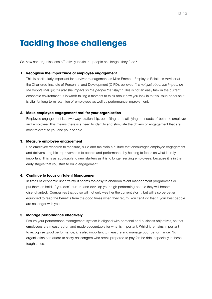### **Tackling those challenges**

So, how can organisations effectively tackle the people challenges they face?

#### **1. Recognise the importance of employee engagement**

This is particularly important for survivor management as Mike Emmott, Employee Relations Adviser at the Chartered Institute of Personnel and Development (CIPD), believes *"It's not just about the impact on the people that go; it's also the impact on the people that stay."*14 This is not an easy task in the current economic environment. It is worth taking a moment to think about how you look in to this issue because it is vital for long term retention of employees as well as performance improvement.

#### **2. Make employee engagement real for your organisation**

Employee engagement is a two-way relationship, benefiting and satisfying the needs of both the employer and employee. This means there is a need to identify and stimulate the drivers of engagement that are most relevant to you and your people.

#### **3. Measure employee engagement**

Use employee research to measure, build and maintain a culture that encourages employee engagement and delivers tangible improvements to people and performance by helping to focus on what is truly important. This is as applicable to new starters as it is to longer serving employees, because it is in the early stages that you start to build engagement.

### **4. Continue to focus on Talent Management**

In times of economic uncertainty, it seems too easy to abandon talent management programmes or put them on hold. If you don't nurture and develop your high performing people they will become disenchanted. Companies that do so will not only weather the current storm, but will also be better equipped to reap the benefits from the good times when they return. You can't do that if your best people are no longer with you.

### **5. Manage performance effectively**

Ensure your performance management system is aligned with personal and business objectives, so that employees are measured on and made accountable for what is important. Whilst it remains important to recognise good performance, it is also important to measure and manage poor performance. No organisation can afford to carry passengers who aren't prepared to pay for the ride, especially in these tough times.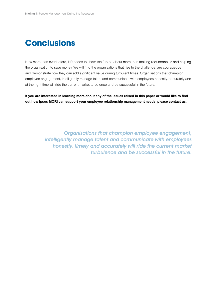# **Conclusions**

Now more than ever before, HR needs to show itself to be about more than making redundancies and helping the organisation to save money. We will find the organisations that rise to the challenge, are courageous and demonstrate how they can add significant value during turbulent times. Organisations that champion employee engagement, intelligently manage talent and communicate with employees honestly, accurately and at the right time will ride the current market turbulence and be successful in the future.

If you are interested in learning more about any of the issues raised in this paper or would like to find **out how Ipsos MORI can support your employee relationship management needs, please contact us.**

> Organisations that champion employee engagement, intelligently manage talent and communicate with employees honestly, timely and accurately will ride the current market turbulence and be successful in the future.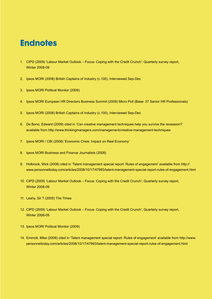### **Endnotes**

- 1. CIPD (2009) 'Labour Market Outlook Focus: Coping with the Credit Crunch'; Quarterly survey report, Winter 2008-09
- 2. Ipsos MORI (2008) British Captains of Industry (c.100), Interviewed Sep-Dec
- 3. Ipsos MORI Political Monitor (2009)
- 4. Ipsos MORI European HR Directors Business Summit (2009) Micro Poll (Base: 37 Senior HR Professionals)
- 5. Ipsos MORI (2008) British Captains of Industry (c.100), Interviewed Sep-Dec
- 6. De Bono, Edward (2009) cited in 'Can creative management techniques help you survive the recession?' available from http://www.thinkingmanagers.com/management/creative-management-techniques
- 7. Ipsos MORI / CBI (2008) 'Economic Crisis: Impact on Real Economy'
- 8. Ipsos MORI Business and Finance Journalists (2008)
- 9. Holbrook, Mick (2008) cited in 'Talent management special report: Rules of engagement' available from http:// www.personneltoday.com/articles/2008/10/17/47993/talent-management-special-report-rules-of-engagement.html
- 10. CIPD (2009) 'Labour Market Outlook Focus: Coping with the Credit Crunch'; Quarterly survey report, Winter 2008-09
- 11. Leahy, Sir T (2005) The Times
- 12. CIPD (2009) 'Labour Market Outlook Focus: Coping with the Credit Crunch'; Quarterly survey report, Winter 2008-09
- 13. Ipsos MORI Political Monitor (2009)
- 14. Emmott, Mike (2008) cited in 'Talent management special report: Rules of engagement' available from http://www. personneltoday.com/articles/2008/10/17/47993/talent-management-special-report-rules-of-engagement.html